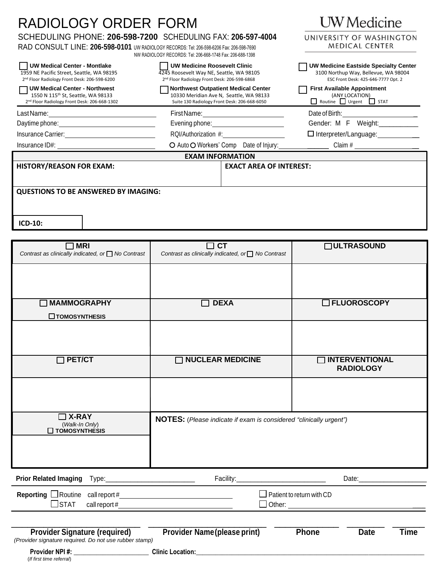| <b>RADIOLOGY ORDER FORM</b>                                                                                                                                                                                          | UW Medicine<br>UNIVERSITY OF WASHINGTON<br><b>MEDICAL CENTER</b>                                                                                                                                                                    |                                                                                                                             |
|----------------------------------------------------------------------------------------------------------------------------------------------------------------------------------------------------------------------|-------------------------------------------------------------------------------------------------------------------------------------------------------------------------------------------------------------------------------------|-----------------------------------------------------------------------------------------------------------------------------|
| SCHEDULING PHONE: 206-598-7200 SCHEDULING FAX: 206-597-4004<br>RAD CONSULT LINE: 206-598-0101 UW RADIOLOGY RECORDS: Tel: 206-598-6206 Fax: 206-598-7690<br>NW RADIOLOGY RECORDS: Tel: 206-668-1748 Fax: 206-688-1398 |                                                                                                                                                                                                                                     |                                                                                                                             |
| <b>UW Medical Center - Montlake</b><br>1959 NE Pacific Street, Seattle, WA 98195<br>2 <sup>nd</sup> Floor Radiology Front Desk: 206-598-6200                                                                         | UW Medicine Roosevelt Clinic<br>4245 Roosevelt Way NE, Seattle, WA 98105<br>2 <sup>nd</sup> Floor Radiology Front Desk: 206-598-6868                                                                                                | <b>UW Medicine Eastside Specialty Center</b><br>3100 Northup Way, Bellevue, WA 98004<br>ESC Front Desk: 425-646-7777 Opt. 2 |
| <b>UW Medical Center - Northwest</b><br>1550 N 115 <sup>th</sup> St, Seattle, WA 98133<br>2nd Floor Radiology Front Desk: 206-668-1302                                                                               | <b>Northwest Outpatient Medical Center</b><br>10330 Meridian Ave N, Seattle, WA 98133<br>Suite 130 Radiology Front Desk: 206-668-6050                                                                                               | <b>First Available Appointment</b><br>(ANY LOCATION)<br>Routine Urgent STAT                                                 |
| Last Name: <u>___________________________________</u>                                                                                                                                                                | First Name: ___________________________                                                                                                                                                                                             |                                                                                                                             |
|                                                                                                                                                                                                                      | Evening phone: <u>contained</u> and all the sense of the sense of the sense of the sense of the sense of the sense of the sense of the sense of the sense of the sense of the sense of the sense of the sense of the sense of the s | Gender: M F Weight:                                                                                                         |
|                                                                                                                                                                                                                      | RQI/Authorization #:                                                                                                                                                                                                                | $\Box$ Interpreter/Language: ___________                                                                                    |
| Insurance ID#:                                                                                                                                                                                                       | O Auto O Workers' Comp Date of Injury:                                                                                                                                                                                              |                                                                                                                             |
|                                                                                                                                                                                                                      | <b>EXAM INFORMATION</b>                                                                                                                                                                                                             |                                                                                                                             |
| <b>HISTORY/REASON FOR EXAM:</b>                                                                                                                                                                                      | <b>EXACT AREA OF INTEREST:</b>                                                                                                                                                                                                      |                                                                                                                             |
| <b>QUESTIONS TO BE ANSWERED BY IMAGING:</b>                                                                                                                                                                          |                                                                                                                                                                                                                                     |                                                                                                                             |
| ICD-10:                                                                                                                                                                                                              |                                                                                                                                                                                                                                     |                                                                                                                             |
| $\square$ MRI                                                                                                                                                                                                        | <b>CT</b>                                                                                                                                                                                                                           | <b>NULTRASOUND</b>                                                                                                          |

| <b>MRI</b><br>Contrast as clinically indicated, or <sup>1</sup> No Contrast                    | $\Box$ CT<br>Contrast as clinically indicated, or □ No Contrast    | <b>OULTRASOUND</b>                         |
|------------------------------------------------------------------------------------------------|--------------------------------------------------------------------|--------------------------------------------|
|                                                                                                |                                                                    |                                            |
| MAMMOGRAPHY<br>$\Box$ TOMOSYNTHESIS                                                            | <b>DEXA</b>                                                        | <b>IDFLUOROSCOPY</b>                       |
|                                                                                                |                                                                    |                                            |
| $\Box$ PET/CT                                                                                  | <b>NUCLEAR MEDICINE</b>                                            | <b>INTERVENTIONAL</b><br><b>RADIOLOGY</b>  |
|                                                                                                |                                                                    |                                            |
| $\Box$ X-RAY<br>(Walk-In Only)<br>$\square$ TOMOSYNTHESIS                                      | NOTES: (Please indicate if exam is considered "clinically urgent") |                                            |
| <b>Prior Related Imaging</b>                                                                   | Facility:                                                          |                                            |
| $\Box$ STAT<br>call report#                                                                    | $\Box$ Patient to return with CD                                   |                                            |
| <b>Provider Signature (required)</b><br>(Provider signature required. Do not use rubber stamp) | <b>Provider Name(please print)</b>                                 | <b>Phone</b><br><b>Time</b><br><b>Date</b> |

| <b>Provider NPI#:</b>    | <b>Clinic Location:</b> |
|--------------------------|-------------------------|
| (If first time referral) |                         |